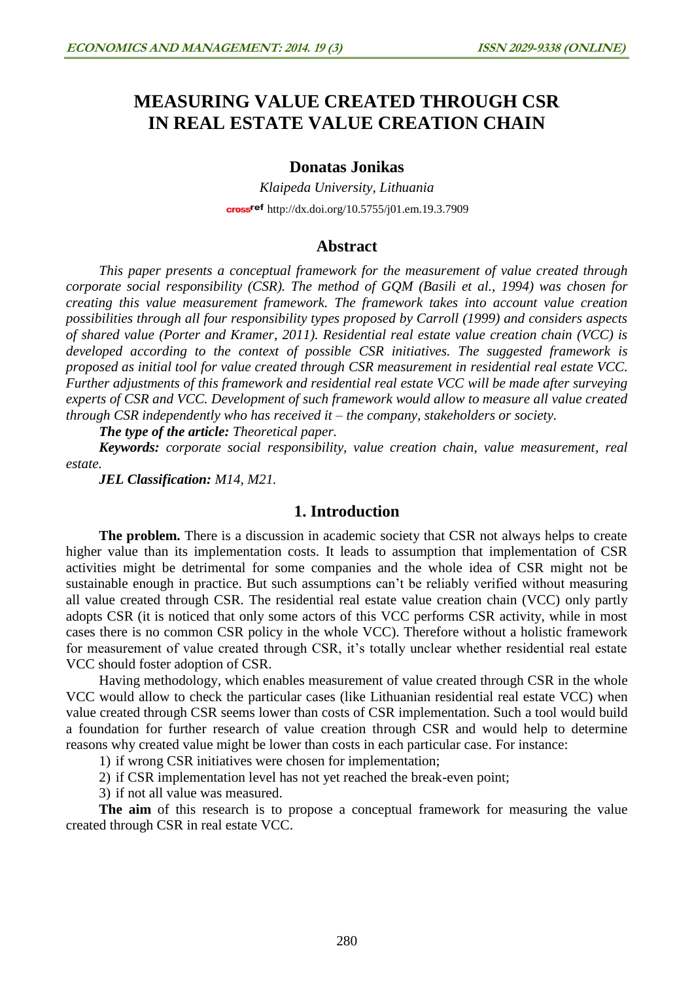# **MEASURING VALUE CREATED THROUGH CSR IN REAL ESTATE VALUE CREATION CHAIN**

### **Donatas Jonikas**

*Klaipeda University, Lithuania* cross<sup>ref</sup> <http://dx.doi.org/10.5755/j01.em.19.3.7909>

### **Abstract**

*This paper presents a conceptual framework for the measurement of value created through corporate social responsibility (CSR). The method of GQM (Basili et al., 1994) was chosen for creating this value measurement framework. The framework takes into account value creation possibilities through all four responsibility types proposed by Carroll (1999) and considers aspects of shared value (Porter and Kramer, 2011). Residential real estate value creation chain (VCC) is developed according to the context of possible CSR initiatives. The suggested framework is proposed as initial tool for value created through CSR measurement in residential real estate VCC. Further adjustments of this framework and residential real estate VCC will be made after surveying experts of CSR and VCC. Development of such framework would allow to measure all value created through CSR independently who has received it – the company, stakeholders or society.* 

*The type of the article: Theoretical paper.*

*Keywords: corporate social responsibility, value creation chain, value measurement, real estate.*

*JEL Classification: M14, M21.*

# **1. Introduction**

**The problem.** There is a discussion in academic society that CSR not always helps to create higher value than its implementation costs. It leads to assumption that implementation of CSR activities might be detrimental for some companies and the whole idea of CSR might not be sustainable enough in practice. But such assumptions can't be reliably verified without measuring all value created through CSR. The residential real estate value creation chain (VCC) only partly adopts CSR (it is noticed that only some actors of this VCC performs CSR activity, while in most cases there is no common CSR policy in the whole VCC). Therefore without a holistic framework for measurement of value created through CSR, it's totally unclear whether residential real estate VCC should foster adoption of CSR.

Having methodology, which enables measurement of value created through CSR in the whole VCC would allow to check the particular cases (like Lithuanian residential real estate VCC) when value created through CSR seems lower than costs of CSR implementation. Such a tool would build a foundation for further research of value creation through CSR and would help to determine reasons why created value might be lower than costs in each particular case. For instance:

1) if wrong CSR initiatives were chosen for implementation;

2) if CSR implementation level has not yet reached the break-even point;

3) if not all value was measured.

The aim of this research is to propose a conceptual framework for measuring the value created through CSR in real estate VCC.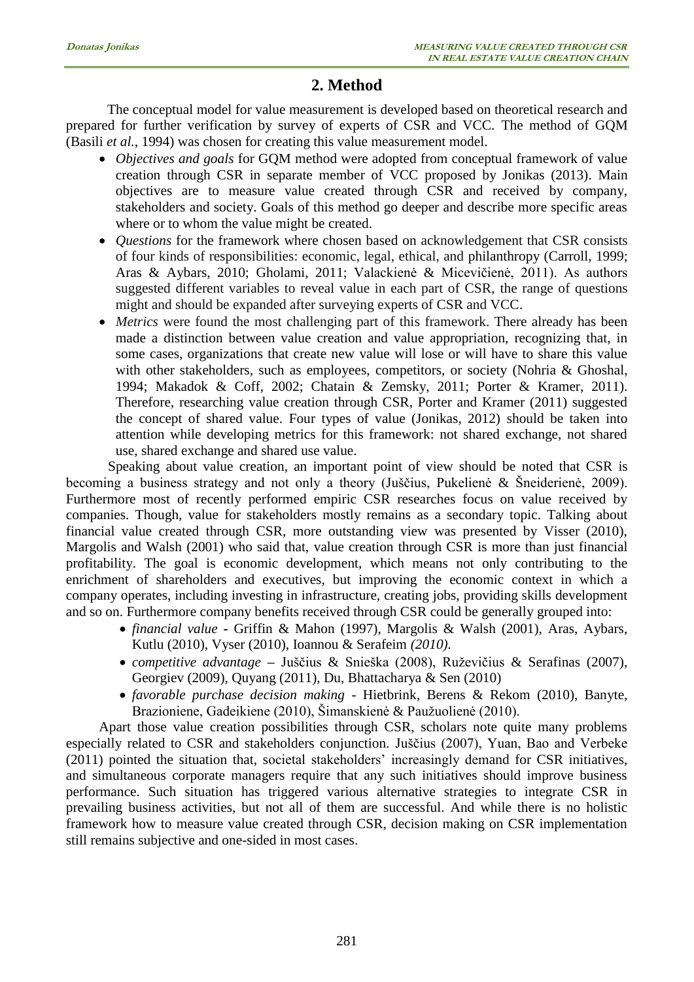# **2. Method**

The conceptual model for value measurement is developed based on theoretical research and prepared for further verification by survey of experts of CSR and VCC. The method of GQM (Basili *et al.*, 1994) was chosen for creating this value measurement model.

- *Objectives and goals* for GQM method were adopted from conceptual framework of value creation through CSR in separate member of VCC proposed by Jonikas (2013). Main objectives are to measure value created through CSR and received by company, stakeholders and society. Goals of this method go deeper and describe more specific areas where or to whom the value might be created.
- *Questions* for the framework where chosen based on acknowledgement that CSR consists of four kinds of responsibilities: economic, legal, ethical, and philanthropy (Carroll, 1999; Aras & Aybars, 2010; Gholami, 2011; Valackienė & Micevičienė, 2011). As authors suggested different variables to reveal value in each part of CSR, the range of questions might and should be expanded after surveying experts of CSR and VCC.
- *Metrics* were found the most challenging part of this framework. There already has been made a distinction between value creation and value appropriation, recognizing that, in some cases, organizations that create new value will lose or will have to share this value with other stakeholders, such as employees, competitors, or society (Nohria & Ghoshal, 1994; Makadok & Coff, 2002; Chatain & Zemsky, 2011; Porter & Kramer, 2011). Therefore, researching value creation through CSR, Porter and Kramer (2011) suggested the concept of shared value. Four types of value (Jonikas, 2012) should be taken into attention while developing metrics for this framework: not shared exchange, not shared use, shared exchange and shared use value.

Speaking about value creation, an important point of view should be noted that CSR is becoming a business strategy and not only a theory (Juščius, Pukelienė & Šneiderienė, 2009). Furthermore most of recently performed empiric CSR researches focus on value received by companies. Though, value for stakeholders mostly remains as a secondary topic. Talking about financial value created through CSR, more outstanding view was presented by Visser (2010), Margolis and Walsh (2001) who said that, value creation through CSR is more than just financial profitability. The goal is economic development, which means not only contributing to the enrichment of shareholders and executives, but improving the economic context in which a company operates, including investing in infrastructure, creating jobs, providing skills development and so on. Furthermore company benefits received through CSR could be generally grouped into:

- *financial value* **-** Griffin & Mahon (1997), Margolis & Walsh (2001), Aras, Aybars, Kutlu (2010), Vyser (2010), Ioannou & Serafeim *(2010)*.
- *competitive advantage* **–** Juščius & Snieška (2008), Ruževičius & Serafinas (2007), Georgiev (2009), Quyang (2011), Du, Bhattacharya & Sen (2010)
- *favorable purchase decision making* Hietbrink, Berens & Rekom (2010), Banyte, Brazioniene, Gadeikiene (2010), Šimanskienė & Paužuolienė (2010).

Apart those value creation possibilities through CSR, scholars note quite many problems especially related to CSR and stakeholders conjunction. Juščius (2007), Yuan, Bao and Verbeke (2011) pointed the situation that, societal stakeholders' increasingly demand for CSR initiatives, and simultaneous corporate managers require that any such initiatives should improve business performance. Such situation has triggered various alternative strategies to integrate CSR in prevailing business activities, but not all of them are successful. And while there is no holistic framework how to measure value created through CSR, decision making on CSR implementation still remains subjective and one-sided in most cases.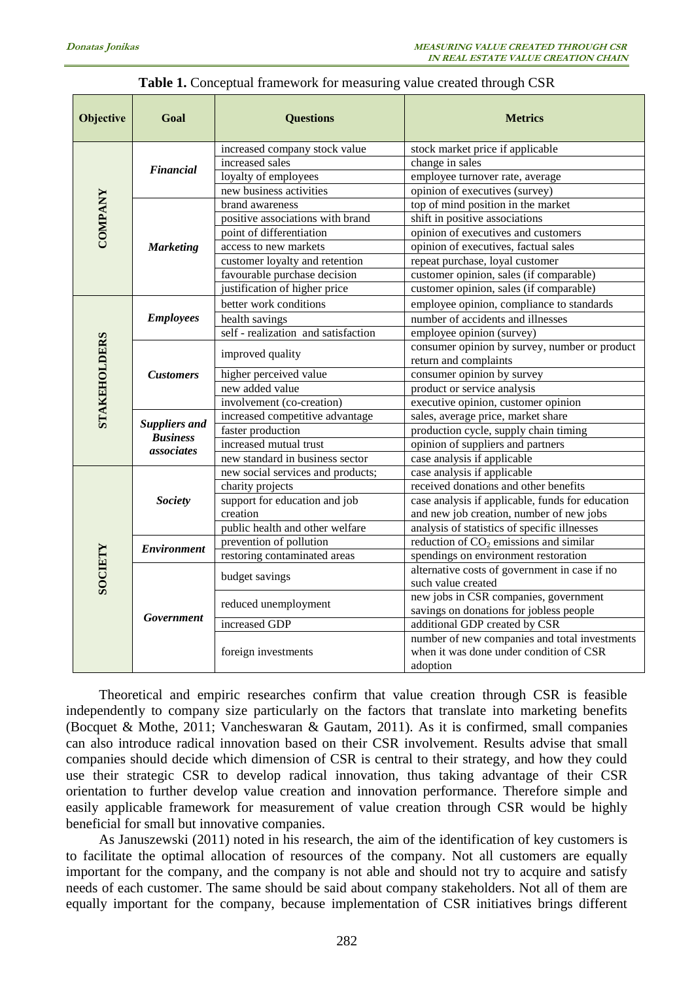| <b>Objective</b>    | Goal                      | <b>Questions</b>                    | <b>Metrics</b>                                   |
|---------------------|---------------------------|-------------------------------------|--------------------------------------------------|
|                     | Financial                 | increased company stock value       | stock market price if applicable                 |
|                     |                           | increased sales                     | change in sales                                  |
|                     |                           | loyalty of employees                | employee turnover rate, average                  |
|                     |                           | new business activities             | opinion of executives (survey)                   |
| <b>COMPANY</b>      | <b>Marketing</b>          | brand awareness                     | top of mind position in the market               |
|                     |                           | positive associations with brand    | shift in positive associations                   |
|                     |                           | point of differentiation            | opinion of executives and customers              |
|                     |                           | access to new markets               | opinion of executives, factual sales             |
|                     |                           | customer loyalty and retention      | repeat purchase, loyal customer                  |
|                     |                           | favourable purchase decision        | customer opinion, sales (if comparable)          |
|                     |                           | justification of higher price       | customer opinion, sales (if comparable)          |
|                     |                           | better work conditions              | employee opinion, compliance to standards        |
|                     | <b>Employees</b>          | health savings                      | number of accidents and illnesses                |
|                     |                           | self - realization and satisfaction | employee opinion (survey)                        |
|                     |                           | improved quality                    | consumer opinion by survey, number or product    |
|                     | <b>Customers</b>          |                                     | return and complaints                            |
| <b>STAKEHOLDERS</b> |                           | higher perceived value              | consumer opinion by survey                       |
|                     |                           | new added value                     | product or service analysis                      |
|                     |                           | involvement (co-creation)           | executive opinion, customer opinion              |
|                     | <b>Suppliers and</b>      | increased competitive advantage     | sales, average price, market share               |
|                     | <b>Business</b>           | faster production                   | production cycle, supply chain timing            |
|                     | associates                | increased mutual trust              | opinion of suppliers and partners                |
|                     |                           | new standard in business sector     | case analysis if applicable                      |
|                     | <b>Society</b>            | new social services and products;   | case analysis if applicable                      |
|                     |                           | charity projects                    | received donations and other benefits            |
|                     |                           | support for education and job       | case analysis if applicable, funds for education |
|                     |                           | creation                            | and new job creation, number of new jobs         |
|                     |                           | public health and other welfare     | analysis of statistics of specific illnesses     |
|                     | <i><b>Environment</b></i> | prevention of pollution             | reduction of $CO2$ emissions and similar         |
|                     |                           | restoring contaminated areas        | spendings on environment restoration             |
|                     | Government                | budget savings                      | alternative costs of government in case if no    |
| <b>SOCIETY</b>      |                           |                                     | such value created                               |
|                     |                           | reduced unemployment                | new jobs in CSR companies, government            |
|                     |                           |                                     | savings on donations for jobless people          |
|                     |                           | increased GDP                       | additional GDP created by CSR                    |
|                     |                           | foreign investments                 | number of new companies and total investments    |
|                     |                           |                                     | when it was done under condition of CSR          |
|                     |                           |                                     | adoption                                         |

### **Table 1.** Conceptual framework for measuring value created through CSR

Theoretical and empiric researches confirm that value creation through CSR is feasible independently to company size particularly on the factors that translate into marketing benefits (Bocquet & Mothe, 2011; Vancheswaran & Gautam, 2011). As it is confirmed, small companies can also introduce radical innovation based on their CSR involvement. Results advise that small companies should decide which dimension of CSR is central to their strategy, and how they could use their strategic CSR to develop radical innovation, thus taking advantage of their CSR orientation to further develop value creation and innovation performance. Therefore simple and easily applicable framework for measurement of value creation through CSR would be highly beneficial for small but innovative companies.

As Januszewski (2011) noted in his research, the aim of the identification of key customers is to facilitate the optimal allocation of resources of the company. Not all customers are equally important for the company, and the company is not able and should not try to acquire and satisfy needs of each customer. The same should be said about company stakeholders. Not all of them are equally important for the company, because implementation of CSR initiatives brings different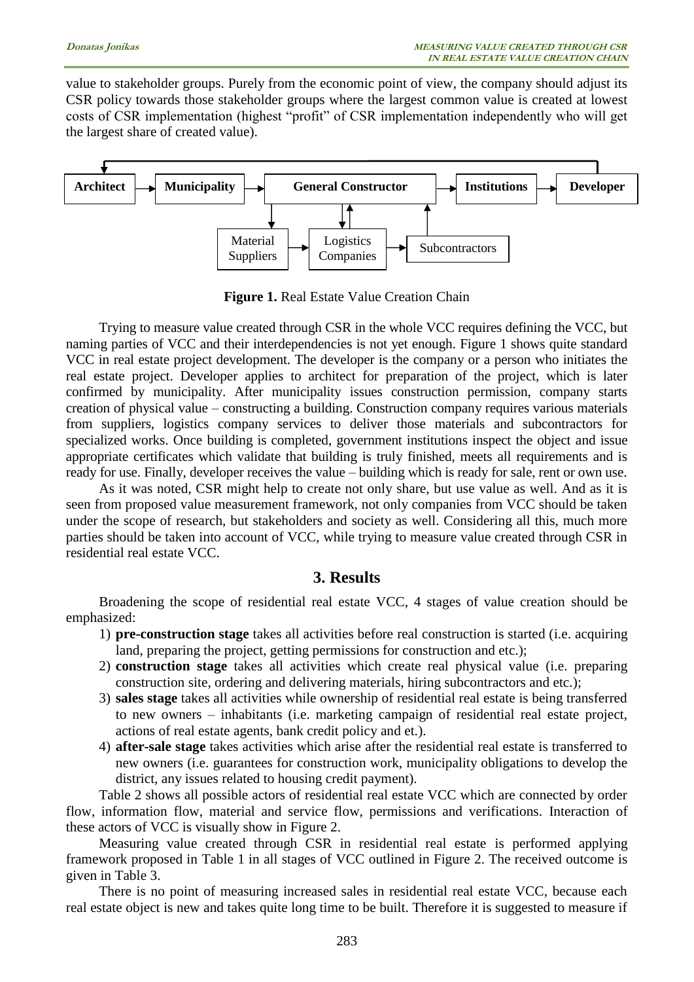value to stakeholder groups. Purely from the economic point of view, the company should adjust its CSR policy towards those stakeholder groups where the largest common value is created at lowest costs of CSR implementation (highest "profit" of CSR implementation independently who will get the largest share of created value).



**Figure 1.** Real Estate Value Creation Chain

Trying to measure value created through CSR in the whole VCC requires defining the VCC, but naming parties of VCC and their interdependencies is not yet enough. Figure 1 shows quite standard VCC in real estate project development. The developer is the company or a person who initiates the real estate project. Developer applies to architect for preparation of the project, which is later confirmed by municipality. After municipality issues construction permission, company starts creation of physical value – constructing a building. Construction company requires various materials from suppliers, logistics company services to deliver those materials and subcontractors for specialized works. Once building is completed, government institutions inspect the object and issue appropriate certificates which validate that building is truly finished, meets all requirements and is ready for use. Finally, developer receives the value – building which is ready for sale, rent or own use.

As it was noted, CSR might help to create not only share, but use value as well. And as it is seen from proposed value measurement framework, not only companies from VCC should be taken under the scope of research, but stakeholders and society as well. Considering all this, much more parties should be taken into account of VCC, while trying to measure value created through CSR in residential real estate VCC.

### **3. Results**

Broadening the scope of residential real estate VCC, 4 stages of value creation should be emphasized:

- 1) **pre-construction stage** takes all activities before real construction is started (i.e. acquiring land, preparing the project, getting permissions for construction and etc.);
- 2) **construction stage** takes all activities which create real physical value (i.e. preparing construction site, ordering and delivering materials, hiring subcontractors and etc.);
- 3) **sales stage** takes all activities while ownership of residential real estate is being transferred to new owners – inhabitants (i.e. marketing campaign of residential real estate project, actions of real estate agents, bank credit policy and et.).
- 4) **after-sale stage** takes activities which arise after the residential real estate is transferred to new owners (i.e. guarantees for construction work, municipality obligations to develop the district, any issues related to housing credit payment).

Table 2 shows all possible actors of residential real estate VCC which are connected by order flow, information flow, material and service flow, permissions and verifications. Interaction of these actors of VCC is visually show in Figure 2.

Measuring value created through CSR in residential real estate is performed applying framework proposed in Table 1 in all stages of VCC outlined in Figure 2. The received outcome is given in Table 3.

There is no point of measuring increased sales in residential real estate VCC, because each real estate object is new and takes quite long time to be built. Therefore it is suggested to measure if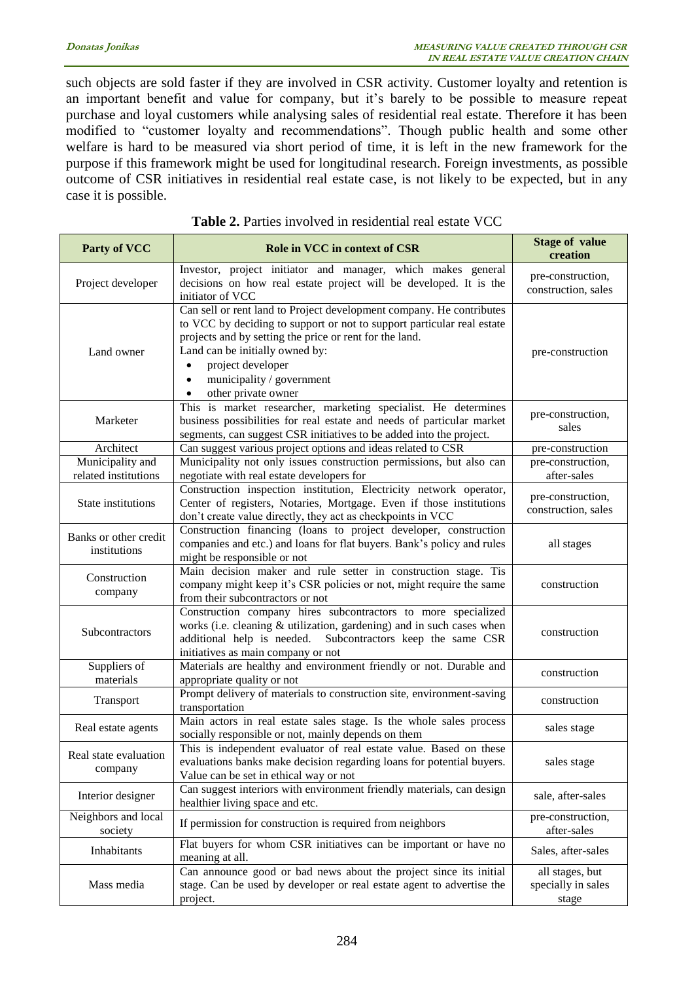such objects are sold faster if they are involved in CSR activity. Customer loyalty and retention is an important benefit and value for company, but it's barely to be possible to measure repeat purchase and loyal customers while analysing sales of residential real estate. Therefore it has been modified to "customer loyalty and recommendations". Though public health and some other welfare is hard to be measured via short period of time, it is left in the new framework for the purpose if this framework might be used for longitudinal research. Foreign investments, as possible outcome of CSR initiatives in residential real estate case, is not likely to be expected, but in any case it is possible.

| <b>Party of VCC</b>                      | Role in VCC in context of CSR                                                                                                                                                                                                                                                                                                                                | <b>Stage of value</b><br>creation              |
|------------------------------------------|--------------------------------------------------------------------------------------------------------------------------------------------------------------------------------------------------------------------------------------------------------------------------------------------------------------------------------------------------------------|------------------------------------------------|
| Project developer                        | Investor, project initiator and manager, which makes general<br>decisions on how real estate project will be developed. It is the<br>initiator of VCC                                                                                                                                                                                                        | pre-construction,<br>construction, sales       |
| Land owner                               | Can sell or rent land to Project development company. He contributes<br>to VCC by deciding to support or not to support particular real estate<br>projects and by setting the price or rent for the land.<br>Land can be initially owned by:<br>project developer<br>$\bullet$<br>municipality / government<br>$\bullet$<br>other private owner<br>$\bullet$ | pre-construction                               |
| Marketer                                 | This is market researcher, marketing specialist. He determines<br>business possibilities for real estate and needs of particular market<br>segments, can suggest CSR initiatives to be added into the project.                                                                                                                                               | pre-construction,<br>sales                     |
| Architect                                | Can suggest various project options and ideas related to CSR                                                                                                                                                                                                                                                                                                 | pre-construction                               |
| Municipality and<br>related institutions | Municipality not only issues construction permissions, but also can<br>negotiate with real estate developers for                                                                                                                                                                                                                                             | pre-construction,<br>after-sales               |
| State institutions                       | Construction inspection institution, Electricity network operator,<br>Center of registers, Notaries, Mortgage. Even if those institutions<br>don't create value directly, they act as checkpoints in VCC                                                                                                                                                     | pre-construction,<br>construction, sales       |
| Banks or other credit<br>institutions    | Construction financing (loans to project developer, construction<br>companies and etc.) and loans for flat buyers. Bank's policy and rules<br>might be responsible or not                                                                                                                                                                                    | all stages                                     |
| Construction<br>company                  | Main decision maker and rule setter in construction stage. Tis<br>company might keep it's CSR policies or not, might require the same<br>from their subcontractors or not                                                                                                                                                                                    | construction                                   |
| Subcontractors                           | Construction company hires subcontractors to more specialized<br>works (i.e. cleaning & utilization, gardening) and in such cases when<br>additional help is needed. Subcontractors keep the same CSR<br>initiatives as main company or not                                                                                                                  | construction                                   |
| Suppliers of<br>materials                | Materials are healthy and environment friendly or not. Durable and<br>appropriate quality or not                                                                                                                                                                                                                                                             | construction                                   |
| Transport                                | Prompt delivery of materials to construction site, environment-saving<br>transportation                                                                                                                                                                                                                                                                      | construction                                   |
| Real estate agents                       | Main actors in real estate sales stage. Is the whole sales process<br>socially responsible or not, mainly depends on them                                                                                                                                                                                                                                    | sales stage                                    |
| Real state evaluation<br>company         | This is independent evaluator of real estate value. Based on these<br>evaluations banks make decision regarding loans for potential buyers.<br>Value can be set in ethical way or not                                                                                                                                                                        | sales stage                                    |
| Interior designer                        | Can suggest interiors with environment friendly materials, can design<br>healthier living space and etc.                                                                                                                                                                                                                                                     | sale, after-sales                              |
| Neighbors and local<br>society           | If permission for construction is required from neighbors                                                                                                                                                                                                                                                                                                    | pre-construction,<br>after-sales               |
| Inhabitants                              | Flat buyers for whom CSR initiatives can be important or have no<br>meaning at all.                                                                                                                                                                                                                                                                          | Sales, after-sales                             |
| Mass media                               | Can announce good or bad news about the project since its initial<br>stage. Can be used by developer or real estate agent to advertise the<br>project.                                                                                                                                                                                                       | all stages, but<br>specially in sales<br>stage |

**Table 2.** Parties involved in residential real estate VCC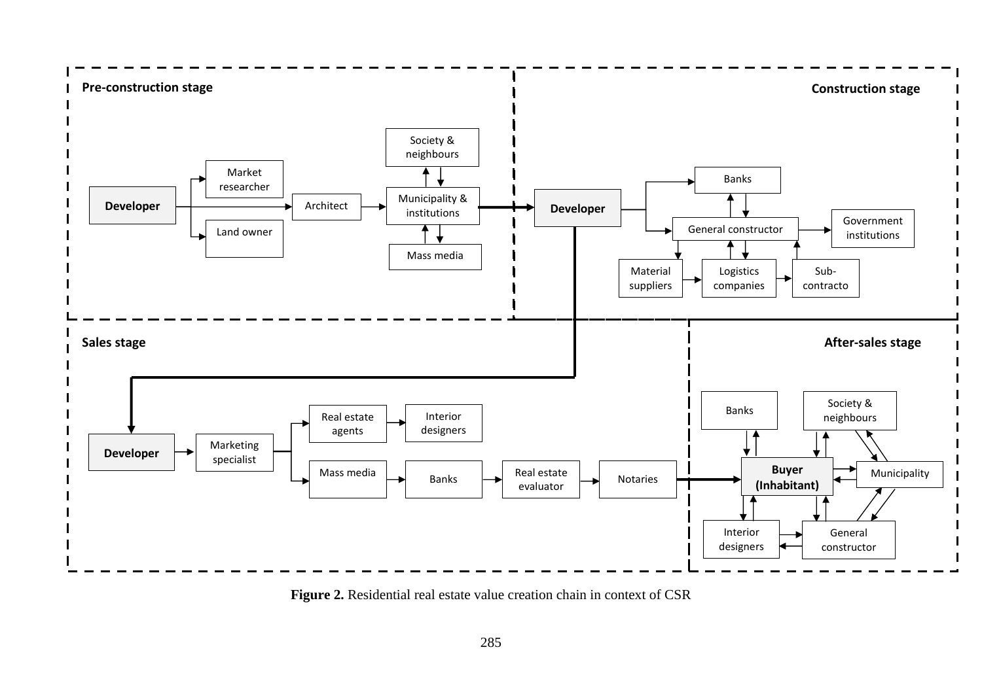

Figure 2. Residential real estate value creation chain in context of CSR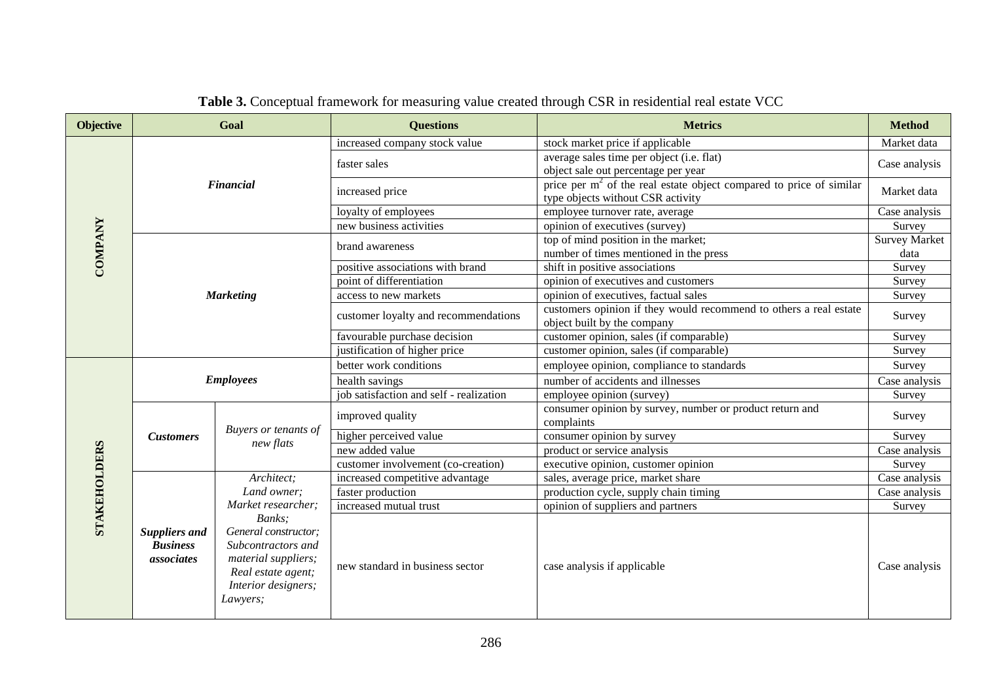| <b>Objective</b> |                                                                                                                                                                                                                                                  | Goal                              | <b>Questions</b>                        | <b>Metrics</b>                                                                                             | <b>Method</b>                |
|------------------|--------------------------------------------------------------------------------------------------------------------------------------------------------------------------------------------------------------------------------------------------|-----------------------------------|-----------------------------------------|------------------------------------------------------------------------------------------------------------|------------------------------|
|                  | <b>Financial</b>                                                                                                                                                                                                                                 |                                   | increased company stock value           | stock market price if applicable                                                                           | Market data                  |
|                  |                                                                                                                                                                                                                                                  |                                   | faster sales                            | average sales time per object (i.e. flat)<br>object sale out percentage per year                           | Case analysis                |
|                  |                                                                                                                                                                                                                                                  |                                   | increased price                         | price per $m2$ of the real estate object compared to price of similar<br>type objects without CSR activity | Market data                  |
|                  |                                                                                                                                                                                                                                                  |                                   | loyalty of employees                    | employee turnover rate, average                                                                            | Case analysis                |
|                  |                                                                                                                                                                                                                                                  |                                   | new business activities                 | opinion of executives (survey)                                                                             | Survey                       |
| COMPANY          |                                                                                                                                                                                                                                                  |                                   | brand awareness                         | top of mind position in the market;<br>number of times mentioned in the press                              | <b>Survey Market</b><br>data |
|                  |                                                                                                                                                                                                                                                  |                                   | positive associations with brand        | shift in positive associations                                                                             | Survey                       |
|                  |                                                                                                                                                                                                                                                  |                                   | point of differentiation                | opinion of executives and customers                                                                        | Survey                       |
|                  | <b>Marketing</b>                                                                                                                                                                                                                                 |                                   | access to new markets                   | opinion of executives, factual sales                                                                       | Survey                       |
|                  |                                                                                                                                                                                                                                                  |                                   | customer loyalty and recommendations    | customers opinion if they would recommend to others a real estate<br>object built by the company           | Survey                       |
|                  |                                                                                                                                                                                                                                                  |                                   | favourable purchase decision            | customer opinion, sales (if comparable)                                                                    | Survey                       |
|                  |                                                                                                                                                                                                                                                  |                                   | justification of higher price           | customer opinion, sales (if comparable)                                                                    | Survey                       |
|                  | <b>Employees</b>                                                                                                                                                                                                                                 |                                   | better work conditions                  | employee opinion, compliance to standards                                                                  | Survey                       |
|                  |                                                                                                                                                                                                                                                  |                                   | health savings                          | number of accidents and illnesses                                                                          | Case analysis                |
|                  |                                                                                                                                                                                                                                                  |                                   | job satisfaction and self - realization | employee opinion (survey)                                                                                  | Survey                       |
|                  |                                                                                                                                                                                                                                                  | Buyers or tenants of<br>new flats | improved quality                        | consumer opinion by survey, number or product return and<br>complaints                                     | Survey                       |
|                  | <b>Customers</b>                                                                                                                                                                                                                                 |                                   | higher perceived value                  | consumer opinion by survey                                                                                 | Survey                       |
|                  |                                                                                                                                                                                                                                                  |                                   | new added value                         | product or service analysis                                                                                | Case analysis                |
|                  |                                                                                                                                                                                                                                                  |                                   | customer involvement (co-creation)      | executive opinion, customer opinion                                                                        | Survey                       |
|                  | Architect;<br>Land owner;<br>Market researcher;<br>Banks;<br>General constructor;<br><b>Suppliers and</b><br><b>Business</b><br>Subcontractors and<br>material suppliers;<br>associates<br>Real estate agent;<br>Interior designers;<br>Lawyers; |                                   | increased competitive advantage         | sales, average price, market share                                                                         | Case analysis                |
|                  |                                                                                                                                                                                                                                                  |                                   | faster production                       | production cycle, supply chain timing                                                                      | Case analysis                |
| STAKEHOLDERS     |                                                                                                                                                                                                                                                  |                                   | increased mutual trust                  | opinion of suppliers and partners                                                                          | Survey                       |
|                  |                                                                                                                                                                                                                                                  | new standard in business sector   | case analysis if applicable             | Case analysis                                                                                              |                              |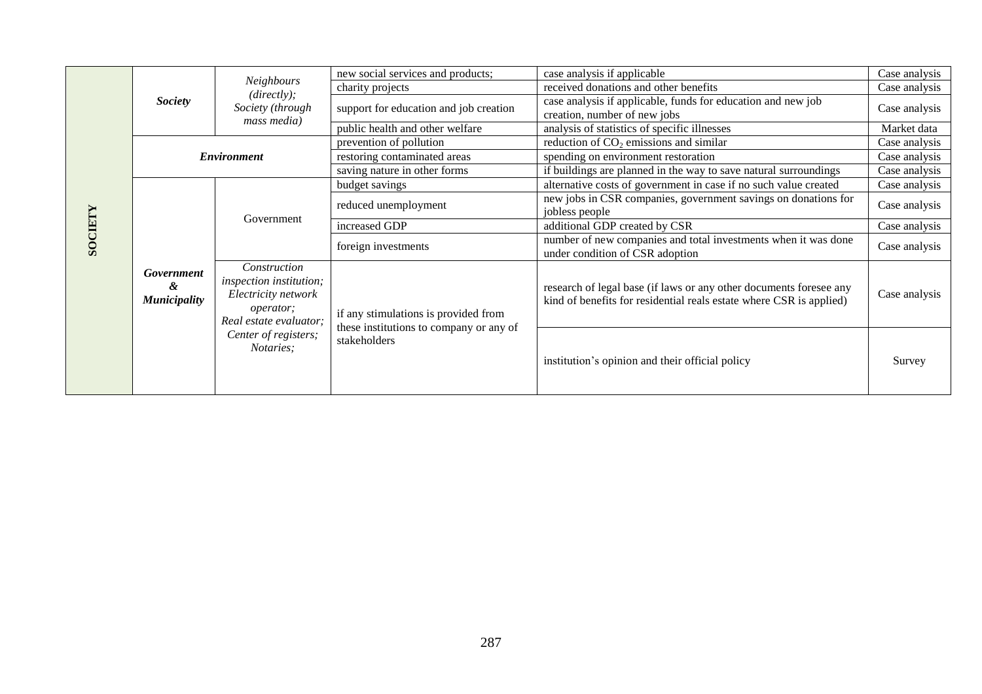| SOCIET | <b>Society</b>                         | <b>Neighbours</b><br>(directly);<br>Society (through<br>mass media)                                                                                              | new social services and products;                                                               | case analysis if applicable                                                                                                               | Case analysis |
|--------|----------------------------------------|------------------------------------------------------------------------------------------------------------------------------------------------------------------|-------------------------------------------------------------------------------------------------|-------------------------------------------------------------------------------------------------------------------------------------------|---------------|
|        |                                        |                                                                                                                                                                  | charity projects                                                                                | received donations and other benefits                                                                                                     | Case analysis |
|        |                                        |                                                                                                                                                                  | support for education and job creation                                                          | case analysis if applicable, funds for education and new job<br>creation, number of new jobs                                              | Case analysis |
|        |                                        |                                                                                                                                                                  | public health and other welfare                                                                 | analysis of statistics of specific illnesses                                                                                              | Market data   |
|        | <b>Environment</b>                     |                                                                                                                                                                  | prevention of pollution                                                                         | reduction of $CO2$ emissions and similar                                                                                                  | Case analysis |
|        |                                        |                                                                                                                                                                  | restoring contaminated areas                                                                    | spending on environment restoration                                                                                                       | Case analysis |
|        |                                        |                                                                                                                                                                  | saving nature in other forms                                                                    | if buildings are planned in the way to save natural surroundings                                                                          | Case analysis |
|        | Government<br>&<br><b>Municipality</b> | Government                                                                                                                                                       | budget savings                                                                                  | alternative costs of government in case if no such value created                                                                          | Case analysis |
|        |                                        |                                                                                                                                                                  | reduced unemployment                                                                            | new jobs in CSR companies, government savings on donations for<br>jobless people                                                          | Case analysis |
|        |                                        |                                                                                                                                                                  | increased GDP                                                                                   | additional GDP created by CSR                                                                                                             | Case analysis |
|        |                                        |                                                                                                                                                                  | foreign investments                                                                             | number of new companies and total investments when it was done<br>under condition of CSR adoption                                         | Case analysis |
|        |                                        | Construction<br><i>inspection institution;</i><br>Electricity network<br><i>operator</i> ;<br>Real estate evaluator;<br>Center of registers;<br><i>Notaries:</i> | if any stimulations is provided from<br>these institutions to company or any of<br>stakeholders | research of legal base (if laws or any other documents foresee any<br>kind of benefits for residential reals estate where CSR is applied) | Case analysis |
|        |                                        |                                                                                                                                                                  |                                                                                                 | institution's opinion and their official policy                                                                                           | Survey        |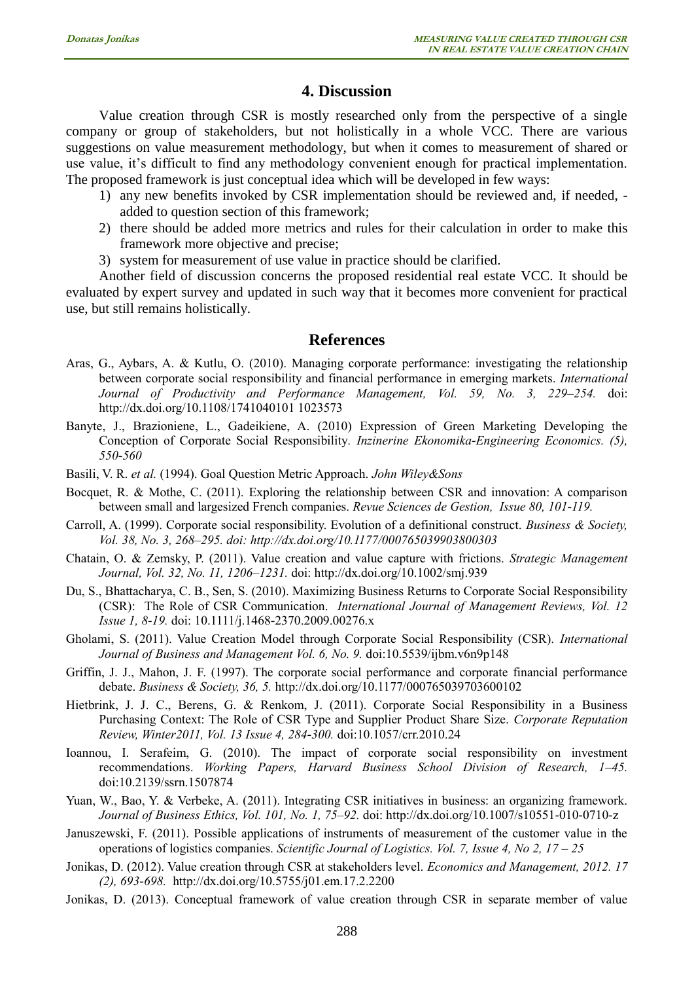## **4. Discussion**

Value creation through CSR is mostly researched only from the perspective of a single company or group of stakeholders, but not holistically in a whole VCC. There are various suggestions on value measurement methodology, but when it comes to measurement of shared or use value, it's difficult to find any methodology convenient enough for practical implementation. The proposed framework is just conceptual idea which will be developed in few ways:

- 1) any new benefits invoked by CSR implementation should be reviewed and, if needed, added to question section of this framework;
- 2) there should be added more metrics and rules for their calculation in order to make this framework more objective and precise;
- 3) system for measurement of use value in practice should be clarified.

Another field of discussion concerns the proposed residential real estate VCC. It should be evaluated by expert survey and updated in such way that it becomes more convenient for practical use, but still remains holistically.

#### **References**

- Aras, G., Aybars, A. & Kutlu, O. (2010). Managing corporate performance: investigating the relationship between corporate social responsibility and financial performance in emerging markets. *International Journal of Productivity and Performance Management, Vol. 59, No. 3, 229–254.* doi: http://dx.doi.org/10.1108/1741040101 1023573
- Banyte, J., Brazioniene, L., Gadeikiene, A. (2010) Expression of Green Marketing Developing the Conception of Corporate Social Responsibility*. Inzinerine Ekonomika-Engineering Economics. (5), 550-560*
- Basili, V. R. *et al.* (1994). Goal Question Metric Approach. *John Wiley&Sons*
- Bocquet, R. & Mothe, C. (2011). Exploring the relationship between CSR and innovation: A comparison between small and largesized French companies. *Revue Sciences de Gestion, Issue 80, 101-119.*
- Carroll, A. (1999). Corporate social responsibility. Evolution of a definitional construct. *Business & Society, Vol. 38, No. 3, 268–295. doi: http://dx.doi.org/10.1177/000765039903800303*
- Chatain, O. & Zemsky, P. (2011). Value creation and value capture with frictions. *Strategic Management Journal, Vol. 32, No. 11, 1206–1231.* doi: http://dx.doi.org/10.1002/smj.939
- Du, S., Bhattacharya, C. B., Sen, S. (2010). Maximizing Business Returns to Corporate Social Responsibility (CSR): The Role of CSR Communication. *International Journal of Management Reviews, Vol. 12 Issue 1, 8-19.* doi: 10.1111/j.1468-2370.2009.00276.x
- Gholami, S. (2011). Value Creation Model through Corporate Social Responsibility (CSR). *International Journal of Business and Management Vol. 6, No. 9.* doi:10.5539/ijbm.v6n9p148
- Griffin, J. J., Mahon, J. F. (1997). The corporate social performance and corporate financial performance debate. *Business & Society, 36, 5.* <http://dx.doi.org/10.1177/000765039703600102>
- Hietbrink, J. J. C., Berens, G. & Renkom, J. (2011). Corporate Social Responsibility in a Business Purchasing Context: The Role of CSR Type and Supplier Product Share Size. *Corporate Reputation Review, Winter2011, Vol. 13 Issue 4, 284-300.* doi:10.1057/crr.2010.24
- Ioannou, I. Serafeim, G. (2010). The impact of corporate social responsibility on investment recommendations. *Working Papers, Harvard Business School Division of Research, 1–45.*  doi:10.2139/ssrn.1507874
- Yuan, W., Bao, Y. & Verbeke, A. (2011). Integrating CSR initiatives in business: an organizing framework. *Journal of Business Ethics, Vol. 101, No. 1, 75–92.* doi: http://dx.doi.org/10.1007/s10551-010-0710-z
- Januszewski, F. (2011). Possible applications of instruments of measurement of the customer value in the operations of logistics companies. *Scientific Journal of Logistics. Vol. 7, Issue 4, No 2, 17 – 25*
- Jonikas, D. (2012). Value creation through CSR at stakeholders level. *Economics and Management, 2012. 17 (2), 693-698.* http://dx.doi.org/10.5755/j01.em.17.2.2200
- Jonikas, D. (2013). Conceptual framework of value creation through CSR in separate member of value